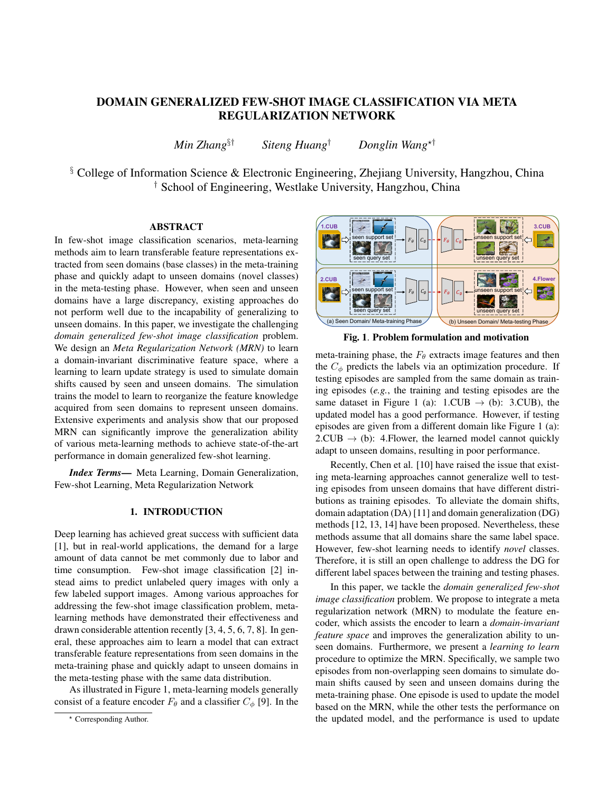# DOMAIN GENERALIZED FEW-SHOT IMAGE CLASSIFICATION VIA META REGULARIZATION NETWORK

*Min Zhang*§† *Siteng Huang*† *Donglin Wang*?†

§ College of Information Science & Electronic Engineering, Zhejiang University, Hangzhou, China † School of Engineering, Westlake University, Hangzhou, China

# **ABSTRACT**

In few-shot image classification scenarios, meta-learning methods aim to learn transferable feature representations extracted from seen domains (base classes) in the meta-training phase and quickly adapt to unseen domains (novel classes) in the meta-testing phase. However, when seen and unseen domains have a large discrepancy, existing approaches do not perform well due to the incapability of generalizing to unseen domains. In this paper, we investigate the challenging *domain generalized few-shot image classification* problem. We design an *Meta Regularization Network (MRN)* to learn a domain-invariant discriminative feature space, where a learning to learn update strategy is used to simulate domain shifts caused by seen and unseen domains. The simulation trains the model to learn to reorganize the feature knowledge acquired from seen domains to represent unseen domains. Extensive experiments and analysis show that our proposed MRN can significantly improve the generalization ability of various meta-learning methods to achieve state-of-the-art performance in domain generalized few-shot learning.

*Index Terms*— Meta Learning, Domain Generalization, Few-shot Learning, Meta Regularization Network

## 1. INTRODUCTION

Deep learning has achieved great success with sufficient data [1], but in real-world applications, the demand for a large amount of data cannot be met commonly due to labor and time consumption. Few-shot image classification [2] instead aims to predict unlabeled query images with only a few labeled support images. Among various approaches for addressing the few-shot image classification problem, metalearning methods have demonstrated their effectiveness and drawn considerable attention recently [3, 4, 5, 6, 7, 8]. In general, these approaches aim to learn a model that can extract transferable feature representations from seen domains in the meta-training phase and quickly adapt to unseen domains in the meta-testing phase with the same data distribution.

As illustrated in Figure 1, meta-learning models generally consist of a feature encoder  $F_{\theta}$  and a classifier  $C_{\phi}$  [9]. In the



Fig. 1. Problem formulation and motivation

meta-training phase, the  $F_{\theta}$  extracts image features and then the  $C_{\phi}$  predicts the labels via an optimization procedure. If testing episodes are sampled from the same domain as training episodes (*e.g.*, the training and testing episodes are the same dataset in Figure 1 (a):  $1$ .CUB  $\rightarrow$  (b): 3.CUB), the updated model has a good performance. However, if testing episodes are given from a different domain like Figure 1 (a):  $2.CUB \rightarrow (b)$ : 4. Flower, the learned model cannot quickly adapt to unseen domains, resulting in poor performance.

Recently, Chen et al. [10] have raised the issue that existing meta-learning approaches cannot generalize well to testing episodes from unseen domains that have different distributions as training episodes. To alleviate the domain shifts, domain adaptation (DA) [11] and domain generalization (DG) methods [12, 13, 14] have been proposed. Nevertheless, these methods assume that all domains share the same label space. However, few-shot learning needs to identify *novel* classes. Therefore, it is still an open challenge to address the DG for different label spaces between the training and testing phases.

In this paper, we tackle the *domain generalized few-shot image classification* problem. We propose to integrate a meta regularization network (MRN) to modulate the feature encoder, which assists the encoder to learn a *domain-invariant feature space* and improves the generalization ability to unseen domains. Furthermore, we present a *learning to learn* procedure to optimize the MRN. Specifically, we sample two episodes from non-overlapping seen domains to simulate domain shifts caused by seen and unseen domains during the meta-training phase. One episode is used to update the model based on the MRN, while the other tests the performance on the updated model, and the performance is used to update

<sup>?</sup> Corresponding Author.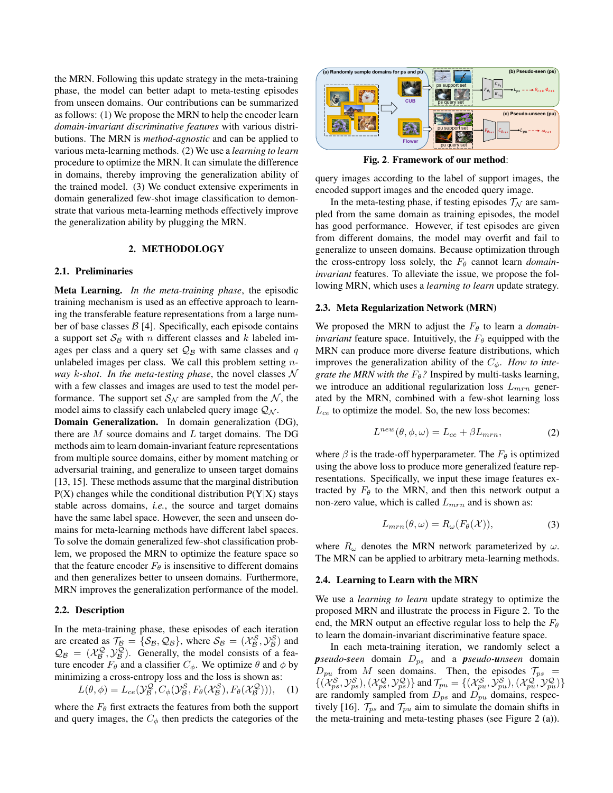the MRN. Following this update strategy in the meta-training phase, the model can better adapt to meta-testing episodes from unseen domains. Our contributions can be summarized as follows: (1) We propose the MRN to help the encoder learn *domain-invariant discriminative features* with various distributions. The MRN is *method-agnostic* and can be applied to various meta-learning methods. (2) We use a *learning to learn* procedure to optimize the MRN. It can simulate the difference in domains, thereby improving the generalization ability of the trained model. (3) We conduct extensive experiments in domain generalized few-shot image classification to demonstrate that various meta-learning methods effectively improve the generalization ability by plugging the MRN.

## 2. METHODOLOGY

#### 2.1. Preliminaries

Meta Learning. *In the meta-training phase*, the episodic training mechanism is used as an effective approach to learning the transferable feature representations from a large number of base classes  $\beta$  [4]. Specifically, each episode contains a support set  $S_B$  with n different classes and k labeled images per class and a query set  $\mathcal{Q}_\mathcal{B}$  with same classes and q unlabeled images per class. We call this problem setting n*way* k*-shot*. *In the meta-testing phase*, the novel classes N with a few classes and images are used to test the model performance. The support set  $S_N$  are sampled from the N, the model aims to classify each unlabeled query image  $Q_N$ .

Domain Generalization. In domain generalization (DG), there are  $M$  source domains and  $L$  target domains. The DG methods aim to learn domain-invariant feature representations from multiple source domains, either by moment matching or adversarial training, and generalize to unseen target domains [13, 15]. These methods assume that the marginal distribution  $P(X)$  changes while the conditional distribution  $P(Y|X)$  stays stable across domains, *i.e.*, the source and target domains have the same label space. However, the seen and unseen domains for meta-learning methods have different label spaces. To solve the domain generalized few-shot classification problem, we proposed the MRN to optimize the feature space so that the feature encoder  $F_{\theta}$  is insensitive to different domains and then generalizes better to unseen domains. Furthermore, MRN improves the generalization performance of the model.

## 2.2. Description

In the meta-training phase, these episodes of each iteration are created as  $\mathcal{T}_{\mathcal{B}} = {\{\mathcal{S}_{\mathcal{B}}, \mathcal{Q}_{\mathcal{B}}\}}$ , where  $\mathcal{S}_{\mathcal{B}} = (\mathcal{X}_{\mathcal{B}}^{\mathcal{S}}, \mathcal{Y}_{\mathcal{B}}^{\mathcal{S}})$  and  $\mathcal{Q}_{\mathcal{B}} = (\mathcal{X}_{\mathcal{B}}^{\mathcal{Q}}, \mathcal{Y}_{\mathcal{B}}^{\mathcal{Q}})$ . Generally, the model consists of a feature encoder  $F_{\theta}$  and a classifier  $C_{\phi}$ . We optimize  $\theta$  and  $\phi$  by minimizing a cross-entropy loss and the loss is shown as:

$$
L(\theta, \phi) = L_{ce}(\mathcal{Y}_{\mathcal{B}}^{\mathcal{Q}}, C_{\phi}(\mathcal{Y}_{\mathcal{B}}^{\mathcal{S}}, F_{\theta}(\mathcal{X}_{\mathcal{B}}^{\mathcal{S}}), F_{\theta}(\mathcal{X}_{\mathcal{B}}^{\mathcal{Q}}))), \quad (1)
$$

where the  $F_{\theta}$  first extracts the features from both the support and query images, the  $C_{\phi}$  then predicts the categories of the



Fig. 2. Framework of our method:

query images according to the label of support images, the encoded support images and the encoded query image.

In the meta-testing phase, if testing episodes  $\mathcal{T}_N$  are sampled from the same domain as training episodes, the model has good performance. However, if test episodes are given from different domains, the model may overfit and fail to generalize to unseen domains. Because optimization through the cross-entropy loss solely, the  $F_{\theta}$  cannot learn *domaininvariant* features. To alleviate the issue, we propose the following MRN, which uses a *learning to learn* update strategy.

#### 2.3. Meta Regularization Network (MRN)

We proposed the MRN to adjust the  $F_{\theta}$  to learn a *domaininvariant* feature space. Intuitively, the  $F_{\theta}$  equipped with the MRN can produce more diverse feature distributions, which improves the generalization ability of the  $C_{\phi}$ . *How to integrate the MRN with the*  $F_{\theta}$ ? Inspired by multi-tasks learning, we introduce an additional regularization loss  $L_{mrn}$  generated by the MRN, combined with a few-shot learning loss  $L_{ce}$  to optimize the model. So, the new loss becomes:

$$
L^{new}(\theta, \phi, \omega) = L_{ce} + \beta L_{mrn}, \qquad (2)
$$

where  $\beta$  is the trade-off hyperparameter. The  $F_{\theta}$  is optimized using the above loss to produce more generalized feature representations. Specifically, we input these image features extracted by  $F_{\theta}$  to the MRN, and then this network output a non-zero value, which is called  $L_{mrn}$  and is shown as:

$$
L_{mrn}(\theta,\omega) = R_{\omega}(F_{\theta}(\mathcal{X})),\tag{3}
$$

where  $R_{\omega}$  denotes the MRN network parameterized by  $\omega$ . The MRN can be applied to arbitrary meta-learning methods.

#### 2.4. Learning to Learn with the MRN

We use a *learning to learn* update strategy to optimize the proposed MRN and illustrate the process in Figure 2. To the end, the MRN output an effective regular loss to help the  $F_{\theta}$ to learn the domain-invariant discriminative feature space.

In each meta-training iteration, we randomly select a *pseudo-seen* domain  $D_{ps}$  and a *pseudo-unseen* domain  $D_{pu}$  from M seen domains. Then, the episodes  $\mathcal{T}_{ps}$  =  $\{(\mathcal{X}_{ps}^{\mathcal{S}}, \mathcal{Y}_{ps}^{\mathcal{S}}),(\mathcal{X}_{ps}^{\mathcal{Q}}, \mathcal{Y}_{ps}^{\mathcal{Q}})\}\$ and  $\mathcal{T}_{pu} = \{(\mathcal{X}_{pu}^{\mathcal{S}}, \mathcal{Y}_{pu}^{\mathcal{S}}),(\mathcal{X}_{pu}^{\mathcal{Q}}, \mathcal{Y}_{pu}^{\mathcal{Q}})\}\$ are randomly sampled from  $D_{ps}$  and  $D_{pu}$  domains, respectively [16].  $\mathcal{T}_{ps}$  and  $\mathcal{T}_{pu}$  aim to simulate the domain shifts in the meta-training and meta-testing phases (see Figure 2 (a)).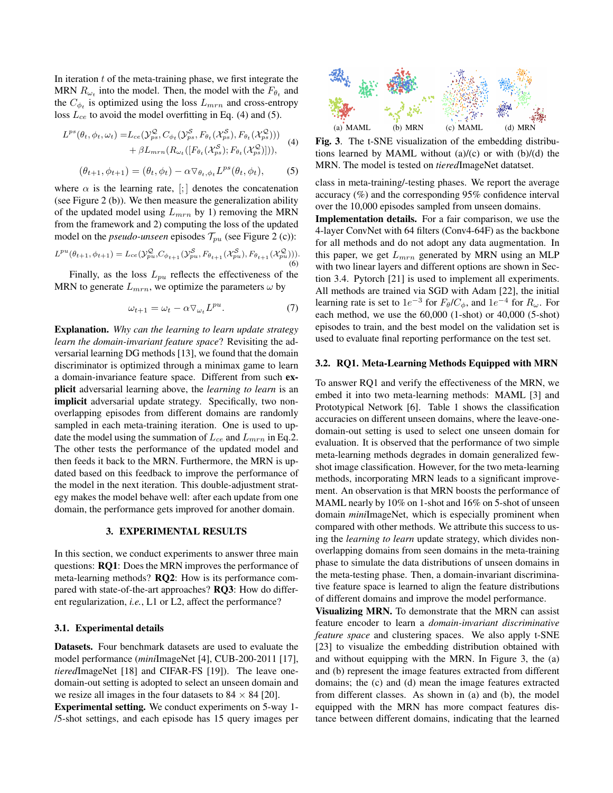In iteration  $t$  of the meta-training phase, we first integrate the MRN  $R_{\omega_t}$  into the model. Then, the model with the  $F_{\theta_t}$  and the  $C_{\phi_t}$  is optimized using the loss  $L_{mrn}$  and cross-entropy loss  $L_{ce}$  to avoid the model overfitting in Eq. (4) and (5).

$$
L^{ps}(\theta_t, \phi_t, \omega_t) = L_{ce}(\mathcal{Y}_{ps}^{\mathcal{Q}}, C_{\phi_t}(\mathcal{Y}_{ps}^{\mathcal{S}}, F_{\theta_t}(\mathcal{X}_{ps}^{\mathcal{S}}), F_{\theta_t}(\mathcal{X}_{ps}^{\mathcal{Q}}))) + \beta L_{mrn}(R_{\omega_t}([F_{\theta_t}(\mathcal{X}_{ps}^{\mathcal{S}}); F_{\theta_t}(\mathcal{X}_{ps}^{\mathcal{Q}})])),
$$
(4)

$$
(\theta_{t+1}, \phi_{t+1}) = (\theta_t, \phi_t) - \alpha \nabla_{\theta_t, \phi_t} L^{ps}(\theta_t, \phi_t),
$$
 (5)

where  $\alpha$  is the learning rate,  $\left[\cdot\right]$  denotes the concatenation (see Figure 2 (b)). We then measure the generalization ability of the updated model using  $L_{mrn}$  by 1) removing the MRN from the framework and 2) computing the loss of the updated model on the *pseudo-unseen* episodes  $\mathcal{T}_{pu}$  (see Figure 2 (c)):

$$
L^{pu}(\theta_{t+1}, \phi_{t+1}) = L_{ce}(\mathcal{Y}_{pu}^{\mathcal{Q}}, C_{\phi_{t+1}}(\mathcal{Y}_{pu}^{\mathcal{S}}, F_{\theta_{t+1}}(\mathcal{X}_{pu}^{\mathcal{S}}), F_{\theta_{t+1}}(\mathcal{X}_{pu}^{\mathcal{Q}})))
$$
 (6)

Finally, as the loss  $L_{pu}$  reflects the effectiveness of the MRN to generate  $L_{mrn}$ , we optimize the parameters  $\omega$  by

$$
\omega_{t+1} = \omega_t - \alpha \nabla_{\omega_t} L^{pu}.
$$
 (7)

Explanation. *Why can the learning to learn update strategy learn the domain-invariant feature space*? Revisiting the adversarial learning DG methods [13], we found that the domain discriminator is optimized through a minimax game to learn a domain-invariance feature space. Different from such explicit adversarial learning above, the *learning to learn* is an implicit adversarial update strategy. Specifically, two nonoverlapping episodes from different domains are randomly sampled in each meta-training iteration. One is used to update the model using the summation of  $L_{ce}$  and  $L_{mrn}$  in Eq.2. The other tests the performance of the updated model and then feeds it back to the MRN. Furthermore, the MRN is updated based on this feedback to improve the performance of the model in the next iteration. This double-adjustment strategy makes the model behave well: after each update from one domain, the performance gets improved for another domain.

### 3. EXPERIMENTAL RESULTS

In this section, we conduct experiments to answer three main questions: RQ1: Does the MRN improves the performance of meta-learning methods? RQ2: How is its performance compared with state-of-the-art approaches? RQ3: How do different regularization, *i.e.*, L1 or L2, affect the performance?

#### 3.1. Experimental details

Datasets. Four benchmark datasets are used to evaluate the model performance (*mini*ImageNet [4], CUB-200-2011 [17], *tiered*ImageNet [18] and CIFAR-FS [19]). The leave onedomain-out setting is adopted to select an unseen domain and we resize all images in the four datasets to  $84 \times 84$  [20].

Experimental setting. We conduct experiments on 5-way 1- /5-shot settings, and each episode has 15 query images per



Fig. 3. The t-SNE visualization of the embedding distributions learned by MAML without  $(a)/(c)$  or with  $(b)/(d)$  the MRN. The model is tested on *tiered*ImageNet datatset.

class in meta-training/-testing phases. We report the average accuracy (%) and the corresponding 95% confidence interval over the 10,000 episodes sampled from unseen domains.

Implementation details. For a fair comparison, we use the 4-layer ConvNet with 64 filters (Conv4-64F) as the backbone for all methods and do not adopt any data augmentation. In this paper, we get  $L_{mrn}$  generated by MRN using an MLP with two linear layers and different options are shown in Section 3.4. Pytorch [21] is used to implement all experiments. All methods are trained via SGD with Adam [22], the initial learning rate is set to  $1e^{-3}$  for  $F_{\theta}/C_{\phi}$ , and  $1e^{-4}$  for  $R_{\omega}$ . For each method, we use the 60,000 (1-shot) or 40,000 (5-shot) episodes to train, and the best model on the validation set is used to evaluate final reporting performance on the test set.

### 3.2. RQ1. Meta-Learning Methods Equipped with MRN

To answer RQ1 and verify the effectiveness of the MRN, we embed it into two meta-learning methods: MAML [3] and Prototypical Network [6]. Table 1 shows the classification accuracies on different unseen domains, where the leave-onedomain-out setting is used to select one unseen domain for evaluation. It is observed that the performance of two simple meta-learning methods degrades in domain generalized fewshot image classification. However, for the two meta-learning methods, incorporating MRN leads to a significant improvement. An observation is that MRN boosts the performance of MAML nearly by 10% on 1-shot and 16% on 5-shot of unseen domain *mini*ImageNet, which is especially prominent when compared with other methods. We attribute this success to using the *learning to learn* update strategy, which divides nonoverlapping domains from seen domains in the meta-training phase to simulate the data distributions of unseen domains in the meta-testing phase. Then, a domain-invariant discriminative feature space is learned to align the feature distributions of different domains and improve the model performance.

Visualizing MRN. To demonstrate that the MRN can assist feature encoder to learn a *domain-invariant discriminative feature space* and clustering spaces. We also apply t-SNE [23] to visualize the embedding distribution obtained with and without equipping with the MRN. In Figure 3, the (a) and (b) represent the image features extracted from different domains; the (c) and (d) mean the image features extracted from different classes. As shown in (a) and (b), the model equipped with the MRN has more compact features distance between different domains, indicating that the learned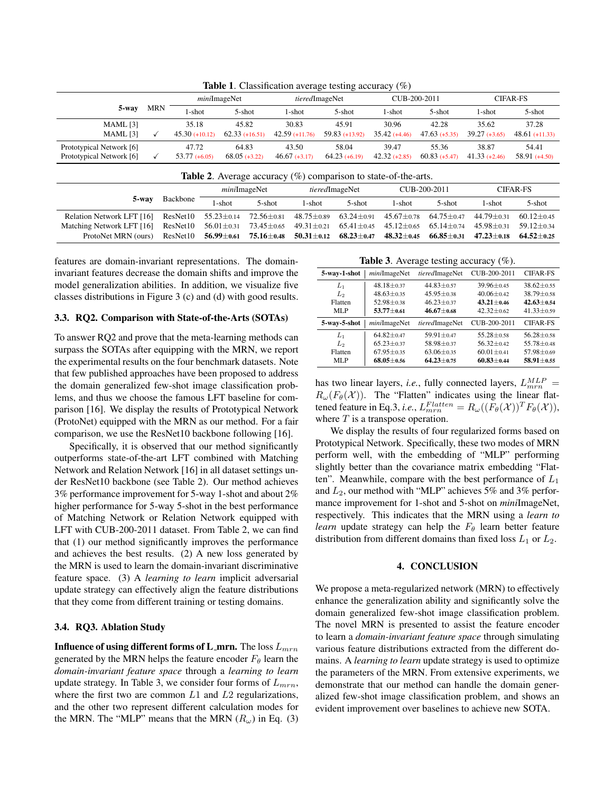| 5-way                                                | <b>MRN</b> | miniImageNet              |                           | tieredImageNet            |                          | CUB-200-2011            |                          | <b>CIFAR-FS</b>          |                           |
|------------------------------------------------------|------------|---------------------------|---------------------------|---------------------------|--------------------------|-------------------------|--------------------------|--------------------------|---------------------------|
|                                                      |            | 1-shot                    | 5-shot                    | l-shot                    | $5$ -shot                | l-shot                  | 5-shot                   | 1-shot                   | 5-shot                    |
| $MAML$ [3]<br>MAML [3]                               |            | 35.18<br>$45.30 (+10.12)$ | 45.82<br>$62.33 (+16.51)$ | 30.83<br>$42.59$ (+11.76) | 45.91<br>$59.83(+13.92)$ | 30.96<br>$35.42(+4.46)$ | 42.28<br>$47.63(+5.35)$  | 35.62<br>$39.27 (+3.65)$ | 37.28<br>$48.61 (+11.33)$ |
| Prototypical Network [6]<br>Prototypical Network [6] |            | 47.72<br>$53.77(+6.05)$   | 64.83<br>$68.05 (+3.22)$  | 43.50<br>$46.67(+3.17)$   | 58.04<br>$64.23(+6.19)$  | 39.47<br>$42.32(+2.85)$ | 55.36<br>$60.83$ (+5.47) | 38.87<br>$41.33(+2.46)$  | 54.41<br>$58.91 (+4.50)$  |

Table 1. Classification average testing accuracy (%)

| <b>Table 2.</b> Average accuracy $(\%)$ comparison to state-of-the-arts. |  |  |  |
|--------------------------------------------------------------------------|--|--|--|
|--------------------------------------------------------------------------|--|--|--|

|                                                                                                                                          |          | miniImageNet |                                                                     | <i>tiered</i> ImageNet |        | CUB-200-2011 |                                   | <b>CIFAR-FS</b>  |                  |
|------------------------------------------------------------------------------------------------------------------------------------------|----------|--------------|---------------------------------------------------------------------|------------------------|--------|--------------|-----------------------------------|------------------|------------------|
| 5-way                                                                                                                                    | Backbone | '-shot       | $5-$ shot                                                           | 1-shot                 | 5-shot | 1-shot       | 5-shot                            | 1-shot           | 5-shot           |
| Relation Network LFT [16] ResNet10 55.23 $\pm$ 0.14 72.56 $\pm$ 0.81 48.75 $\pm$ 0.89 63.24 $\pm$ 0.91 45.67 $\pm$ 0.78 64.75 $\pm$ 0.47 |          |              |                                                                     |                        |        |              |                                   | 44.79±0.31       | $60.12 + 0.45$   |
| Matching Network LFT [16] ResNet10                                                                                                       |          |              | $56.01 \pm 0.31$ $73.45 \pm 0.65$ $49.31 \pm 0.21$ $65.41 \pm 0.45$ |                        |        |              | $45.12 \pm 0.65$ $65.14 \pm 0.74$ | $45.98 \pm 0.31$ | $59.12 \pm 0.34$ |
| ProtoNet MRN (ours)                                                                                                                      | ResNet10 |              | $56.99 \pm 0.61$ $75.16 \pm 0.48$ $50.31 \pm 0.12$ $68.23 \pm 0.47$ |                        |        |              | $48.32 \pm 0.45$ 66.85 $\pm$ 0.31 | 47.23 $\pm$ 0.18 | $64.52 + 0.25$   |

features are domain-invariant representations. The domaininvariant features decrease the domain shifts and improve the model generalization abilities. In addition, we visualize five classes distributions in Figure 3 (c) and (d) with good results.

### 3.3. RQ2. Comparison with State-of-the-Arts (SOTAs)

To answer RQ2 and prove that the meta-learning methods can surpass the SOTAs after equipping with the MRN, we report the experimental results on the four benchmark datasets. Note that few published approaches have been proposed to address the domain generalized few-shot image classification problems, and thus we choose the famous LFT baseline for comparison [16]. We display the results of Prototypical Network (ProtoNet) equipped with the MRN as our method. For a fair comparison, we use the ResNet10 backbone following [16].

Specifically, it is observed that our method significantly outperforms state-of-the-art LFT combined with Matching Network and Relation Network [16] in all dataset settings under ResNet10 backbone (see Table 2). Our method achieves 3% performance improvement for 5-way 1-shot and about 2% higher performance for 5-way 5-shot in the best performance of Matching Network or Relation Network equipped with LFT with CUB-200-2011 dataset. From Table 2, we can find that (1) our method significantly improves the performance and achieves the best results. (2) A new loss generated by the MRN is used to learn the domain-invariant discriminative feature space. (3) A *learning to learn* implicit adversarial update strategy can effectively align the feature distributions that they come from different training or testing domains.

#### 3.4. RQ3. Ablation Study

**Influence of using different forms of L\_mrn.** The loss  $L_{mrn}$ generated by the MRN helps the feature encoder  $F_{\theta}$  learn the *domain-invariant feature space* through a *learning to learn* update strategy. In Table 3, we consider four forms of  $L_{mrn}$ , where the first two are common  $L1$  and  $L2$  regularizations, and the other two represent different calculation modes for the MRN. The "MLP" means that the MRN  $(R_\omega)$  in Eq. (3)

Table 3. Average testing accuracy (%).

| 5-way-1-shot   | miniImageNet     | tieredImageNet   | CUB-200-2011     | <b>CIFAR-FS</b>  |  |  |  |  |  |
|----------------|------------------|------------------|------------------|------------------|--|--|--|--|--|
| $L_1$          | $48.18 + 0.37$   | $44.83 + 0.57$   | $39.96 \pm 0.45$ | $38.62 + 0.55$   |  |  |  |  |  |
| Lэ             | $48.63 + 0.35$   | $45.95 + 0.38$   | $40.06 + 0.42$   | $38.79 + 0.58$   |  |  |  |  |  |
| Flatten        | $52.98 \pm 0.38$ | $46.23 + 0.37$   | $43.21 + 0.46$   | $42.63 + 0.54$   |  |  |  |  |  |
| MLP            | $53.77 + 0.61$   | $46.67 + 0.68$   | $42.32 + 0.62$   | $41.33 \pm 0.59$ |  |  |  |  |  |
| 5-way-5-shot   | miniImageNet     | tieredImageNet   | CUB-200-2011     | <b>CIFAR-FS</b>  |  |  |  |  |  |
| $L_1$          | $64.82 \pm 0.47$ | $59.91 + 0.47$   | $55.28 + 0.58$   | $56.28 + 0.58$   |  |  |  |  |  |
| L <sub>2</sub> | $65.23 \pm 0.37$ | 58.98±0.37       | $56.32 \pm 0.42$ | 55.78±0.48       |  |  |  |  |  |
| Flatten        | $67.95 \pm 0.35$ | $63.06 \pm 0.35$ | $60.01 \pm 0.41$ | 57.98±0.69       |  |  |  |  |  |
| MLP            | $68.05 \pm 0.56$ | $64.23 + 0.75$   | $60.83 \pm 0.44$ | 58.91±0.55       |  |  |  |  |  |

has two linear layers, *i.e.*, fully connected layers,  $L_{mrn}^{MLP}$  =  $R_{\omega}(F_{\theta}(\mathcal{X}))$ . The "Flatten" indicates using the linear flattened feature in Eq.3, *i.e.*,  $L_{mrn}^{Flatten} = R_{\omega}((F_{\theta}(\mathcal{X}))^{T}F_{\theta}(\mathcal{X})),$ where  $T$  is a transpose operation.

We display the results of four regularized forms based on Prototypical Network. Specifically, these two modes of MRN perform well, with the embedding of "MLP" performing slightly better than the covariance matrix embedding "Flatten". Meanwhile, compare with the best performance of  $L_1$ and  $L_2$ , our method with "MLP" achieves 5% and 3% performance improvement for 1-shot and 5-shot on *mini*ImageNet, respectively. This indicates that the MRN using a *learn to learn* update strategy can help the  $F_{\theta}$  learn better feature distribution from different domains than fixed loss  $L_1$  or  $L_2$ .

## 4. CONCLUSION

We propose a meta-regularized network (MRN) to effectively enhance the generalization ability and significantly solve the domain generalized few-shot image classification problem. The novel MRN is presented to assist the feature encoder to learn a *domain-invariant feature space* through simulating various feature distributions extracted from the different domains. A *learning to learn* update strategy is used to optimize the parameters of the MRN. From extensive experiments, we demonstrate that our method can handle the domain generalized few-shot image classification problem, and shows an evident improvement over baselines to achieve new SOTA.